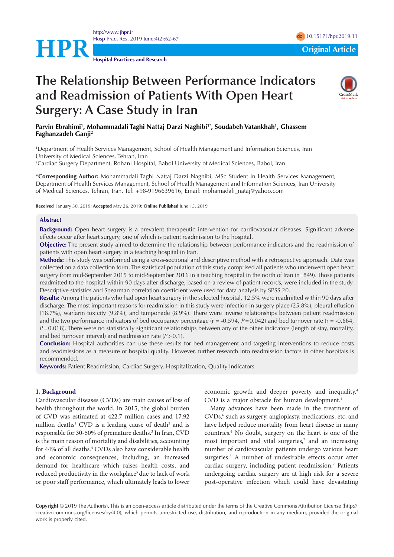

<http://www.jhpr.ir> Hosp Pract Res. 2019 June;4(2):62-67 doi 2019.11 doi [10.15171/hpr.2019.1](https://doi.org/10.15171/hpr.2019.12)1

**Hospital Practices and Research**

# **The Relationship Between Performance Indicators and Readmission of Patients With Open Heart Surgery: A Case Study in Iran**



**Parvin Ebrahimi1 , Mohammadali Taghi Nattaj Darzi Naghibi1\*, Soudabeh Vatankhah1 , Ghassem Faghanzadeh Ganji2**

1 Department of Health Services Management, School of Health Management and Information Sciences, Iran University of Medical Sciences, Tehran, Iran

2 Cardiac Surgery Department, Rohani Hospital, Babol University of Medical Sciences, Babol, Iran

**\*Corresponding Author:** Mohammadali Taghi Nattaj Darzi Naghibi, MSc Student in Health Services Management, Department of Health Services Management, School of Health Management and Information Sciences, Iran University of Medical Sciences, Tehran, Iran. Tel: +98-9196639616, Email: mohamadali\_nataj@yahoo.com

**Received** January 30, 2019; **Accepted** May 26, 2019; **Online Published** June 15, 2019

## **Abstract**

**Background:** Open heart surgery is a prevalent therapeutic intervention for cardiovascular diseases. Significant adverse effects occur after heart surgery, one of which is patient readmission to the hospital.

**Objective:** The present study aimed to determine the relationship between performance indicators and the readmission of patients with open heart surgery in a teaching hospital in Iran.

**Methods:** This study was performed using a cross-sectional and descriptive method with a retrospective approach. Data was collected on a data collection form. The statistical population of this study comprised all patients who underwent open heart surgery from mid-September 2015 to mid-September 2016 in a teaching hospital in the north of Iran (n=849). Those patients readmitted to the hospital within 90 days after discharge, based on a review of patient records, were included in the study. Descriptive statistics and Spearman correlation coefficient were used for data analysis by SPSS 20.

**Results:** Among the patients who had open heart surgery in the selected hospital, 12.5% were readmitted within 90 days after discharge. The most important reasons for readmission in this study were infection in surgery place (25.8%), pleural effusion (18.7%), warfarin toxicity (9.8%), and tamponade (8.9%). There were inverse relationships between patient readmission and the two performance indicators of bed occupancy percentage  $(r = -0.594, P = 0.042)$  and bed turnover rate  $(r = -0.664, P = 0.644)$ *P*=0.018). There were no statistically significant relationships between any of the other indicators (length of stay, mortality, and bed turnover interval) and readmission rate (*P*>0.1).

**Conclusion:** Hospital authorities can use these results for bed management and targeting interventions to reduce costs and readmissions as a measure of hospital quality. However, further research into readmission factors in other hospitals is recommended.

**Keywords:** Patient Readmission, Cardiac Surgery, Hospitalization, Quality Indicators

#### **1. Background**

Cardiovascular diseases (CVDs) are main causes of loss of health throughout the world. In 2015, the global burden of CVD was estimated at 422.7 million cases and 17.92 million deaths<sup>1</sup> CVD is a leading cause of death<sup>2</sup> and is responsible for 30-50% of premature deaths.<sup>3</sup> In Iran, CVD is the main reason of mortality and disabilities, accounting for 44% of all deaths.<sup>4</sup> CVDs also have considerable health and economic consequences, including, an increased demand for healthcare which raises health costs, and reduced productivity in the workplace<sup>5</sup> due to lack of work or poor staff performance, which ultimately leads to lower economic growth and deeper poverty and inequality.4 CVD is a major obstacle for human development.<sup>1</sup>

Many advances have been made in the treatment of CVDs,<sup>6</sup> such as surgery, angioplasty, medications, etc, and have helped reduce mortality from heart disease in many countries.4 No doubt, surgery on the heart is one of the most important and vital surgeries,<sup>7</sup> and an increasing number of cardiovascular patients undergo various heart surgeries.<sup>8</sup> A number of undesirable effects occur after cardiac surgery, including patient readmission.<sup>9</sup> Patients undergoing cardiac surgery are at high risk for a severe post-operative infection which could have devastating

**Copyright** © 2019 The Author(s). This is an open-access article distributed under the terms of the Creative Commons Attribution License (http:// creativecommons.org/licenses/by/4.0), which permits unrestricted use, distribution, and reproduction in any medium, provided the original work is properly cited.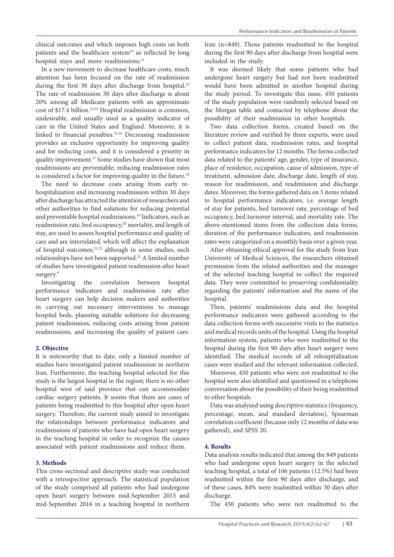clinical outcomes and which imposes high costs on both patients and the healthcare system<sup>10</sup> as reflected by long hospital stays and more readmissions.<sup>11</sup>

In a new movement to decrease healthcare costs, much attention has been focused on the rate of readmission during the first 30 days after discharge from hospital.<sup>12</sup> The rate of readmission 30 days after discharge is about 20% among all Medicare patients with an approximate cost of \$17.4 billion.<sup>13,14</sup> Hospital readmission is common, undesirable, and usually used as a quality indicator of care in the United States and England. Moreover, it is linked to financial penalties.15,16 Decreasing readmission provides an exclusive opportunity for improving quality and for reducing costs, and it is considered a priority in quality improvement.17 Some studies have shown that most readmissions are preventable; reducing readmission rates is considered a factor for improving quality in the future.<sup>18</sup>

The need to decrease costs arising from early rehospitalization and increasing readmission within 30 days after discharge has attracted the attention of researchers and other authorities to find solutions for reducing potential and preventable hospital readmissions.19 Indicators, such as readmission rate, bed occupancy,20 mortality, and length of stay, are used to assess hospital performance and quality of care and are interrelated, which will affect the explanation of hospital outcomes,<sup>21,22</sup> although in some studies, such relationships have not been supported.21 A limited number of studies have investigated patient readmission after heart surgery.<sup>9</sup>

Investigating the correlation between hospital performance indicators and readmission rate after heart surgery can help decision makers and authorities in carrying out necessary interventions to manage hospital beds, planning suitable solutions for decreasing patient readmission, reducing costs arising from patient readmissions, and increasing the quality of patient care.

## **2. Objective**

It is noteworthy that to date, only a limited number of studies have investigated patient readmission in northern Iran. Furthermore, the teaching hospital selected for this study is the largest hospital in the region; there is no other hospital west of said province that can accommodate cardiac surgery patients. It seems that there are cases of patients being readmitted to this hospital after open heart surgery. Therefore, the current study aimed to investigate the relationships between performance indicators and readmissions of patients who have had open heart surgery in the teaching hospital in order to recognize the causes associated with patient readmissions and reduce them.

# **3. Methods**

This cross-sectional and descriptive study was conducted with a retrospective approach. The statistical population of the study comprised all patients who had undergone open heart surgery between mid-September 2015 and mid-September 2016 in a teaching hospital in northern Iran (n=849). Those patients readmitted to the hospital during the first 90 days after discharge from hospital were included in the study.

It was deemed likely that some patients who had undergone heart surgery but had not been readmitted would have been admitted to another hospital during the study period. To investigate this issue, 450 patients of the study population were randomly selected based on the Morgan table and contacted by telephone about the possibility of their readmission in other hospitals.

Two data collection forms, created based on the literature review and verified by three experts, were used to collect patient data, readmission rates, and hospital performance indicators for 12 months. The forms collected data related to the patients' age, gender, type of insurance, place of residence, occupation, cause of admission, type of treatment, admission date, discharge date, length of stay, reason for readmission, and readmission and discharge dates. Moreover, the forms gathered data on 5 items related to hospital performance indicators, i.e. average length of stay for patients, bed turnover rate, percentage of bed occupancy, bed turnover interval, and mortality rate. The above-mentioned items from the collection data forms, duration of the performance indicators, and readmission rates were categorized on a monthly basis over a given year.

After obtaining ethical approval for the study from Iran University of Medical Sciences, the researchers obtained permission from the related authorities and the manager of the selected teaching hospital to collect the required data. They were committed to preserving confidentiality regarding the patients' information and the name of the hospital.

Then, patients' readmissions data and the hospital performance indicators were gathered according to the data collection forms with successive visits to the statistics and medical records units of the hospital. Using the hospital information system, patients who were readmitted to the hospital during the first 90 days after heart surgery were identified. The medical records of all rehospitalization cases were studied and the relevant information collected.

Moreover, 450 patients who were not readmitted to the hospital were also identified and questioned in a telephone conversation about the possibility of their being readmitted to other hospitals.

Data was analyzed using descriptive statistics (frequency, percentage, mean, and standard deviation), Spearman correlation coefficient (because only 12 months of data was gathered), and SPSS 20.

## **4. Results**

Data analysis results indicated that among the 849 patients who had undergone open heart surgery in the selected teaching hospital, a total of 106 patients (12.5%) had been readmitted within the first 90 days after discharge, and of these cases, 84% were readmitted within 30 days after discharge.

The 450 patients who were not readmitted to the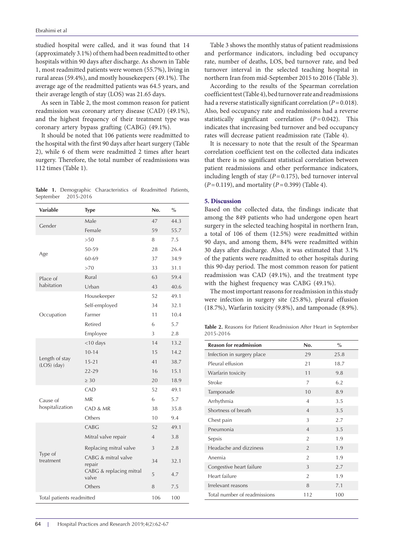studied hospital were called, and it was found that 14 (approximately 3.1%) of them had been readmitted to other hospitals within 90 days after discharge. As shown in Table 1, most readmitted patients were women (55.7%), living in rural areas (59.4%), and mostly housekeepers (49.1%). The average age of the readmitted patients was 64.5 years, and their average length of stay (LOS) was 21.65 days.

As seen in Table 2, the most common reason for patient readmission was coronary artery disease (CAD) (49.1%), and the highest frequency of their treatment type was coronary artery bypass grafting (CABG) (49.1%).

It should be noted that 106 patients were readmitted to the hospital with the first 90 days after heart surgery (Table 2), while 6 of them were readmitted 2 times after heart surgery. Therefore, the total number of readmissions was 112 times (Table 1).

|  |                     | Table 1. Demographic Characteristics of Readmitted Patients, |  |  |
|--|---------------------|--------------------------------------------------------------|--|--|
|  | September 2015-2016 |                                                              |  |  |

| Variable                      | <b>Type</b>                                                                                                                                                                                              | No.            | $\frac{0}{0}$ |
|-------------------------------|----------------------------------------------------------------------------------------------------------------------------------------------------------------------------------------------------------|----------------|---------------|
|                               | Male                                                                                                                                                                                                     | 47             | 44.3          |
| Gender                        | Female                                                                                                                                                                                                   | 59             | 55.7          |
|                               | >50                                                                                                                                                                                                      | 8              | 7.5           |
|                               | 50-59                                                                                                                                                                                                    | 28             | 26.4          |
| Age                           | 60-69                                                                                                                                                                                                    | 37             | 34.9          |
|                               | >70<br>Rural<br>Urban<br>Housekeeper<br>Self-employed<br>Farmer<br>Retired<br>Employee<br><10 days<br>$10 - 14$<br>$15 - 21$<br>$22 - 29$<br>$\geq 30$<br>CAD<br><b>MR</b><br>CAD & MR<br>Others<br>CABG | 33             | 31.1          |
| Place of                      |                                                                                                                                                                                                          | 63             | 59.4          |
| habitation                    |                                                                                                                                                                                                          | 43             | 40.6          |
|                               |                                                                                                                                                                                                          | 52             | 49.1          |
|                               |                                                                                                                                                                                                          | 34             | 32.1          |
| Occupation                    |                                                                                                                                                                                                          | 11             | 10.4          |
|                               |                                                                                                                                                                                                          | 6              | 5.7           |
|                               |                                                                                                                                                                                                          | 3              | 2.8           |
|                               |                                                                                                                                                                                                          | 14             | 13.2          |
|                               |                                                                                                                                                                                                          | 15             | 14.2          |
| Length of stay<br>(LOS) (day) |                                                                                                                                                                                                          | 41             | 38.7          |
|                               |                                                                                                                                                                                                          | 16             | 15.1          |
|                               |                                                                                                                                                                                                          | 20             | 18.9          |
|                               |                                                                                                                                                                                                          | 52             | 49.1          |
| Cause of                      |                                                                                                                                                                                                          | 6              | 5.7           |
| hospitalization               |                                                                                                                                                                                                          | 38             | 35.8          |
|                               |                                                                                                                                                                                                          | 10             | 9.4           |
|                               |                                                                                                                                                                                                          | 52             | 49.1          |
|                               | Mitral valve repair                                                                                                                                                                                      | $\overline{4}$ | 3.8           |
|                               | Replacing mitral valve                                                                                                                                                                                   | 3              | 2.8           |
| Type of<br>treatment          | CABG & mitral valve<br>repair                                                                                                                                                                            | 34             | 32.1          |
|                               | CABG & replacing mitral<br>valve                                                                                                                                                                         | 5              | 4.7           |
|                               | Others                                                                                                                                                                                                   | 8              | 7.5           |
| Total patients readmitted     |                                                                                                                                                                                                          |                | 100           |

Table 3 shows the monthly status of patient readmissions and performance indicators, including bed occupancy rate, number of deaths, LOS, bed turnover rate, and bed turnover interval in the selected teaching hospital in northern Iran from mid-September 2015 to 2016 (Table 3).

According to the results of the Spearman correlation coefficient test (Table 4), bed turnover rate and readmissions had a reverse statistically significant correlation (*P*=0.018). Also, bed occupancy rate and readmissions had a reverse statistically significant correlation (*P*=0.042). This indicates that increasing bed turnover and bed occupancy rates will decrease patient readmission rate (Table 4).

It is necessary to note that the result of the Spearman correlation coefficient test on the collected data indicates that there is no significant statistical correlation between patient readmissions and other performance indicators, including length of stay  $(P=0.175)$ , bed turnover interval (*P*=0.119), and mortality (*P*=0.399) (Table 4).

# **5. Discussion**

Based on the collected data, the findings indicate that among the 849 patients who had undergone open heart surgery in the selected teaching hospital in northern Iran, a total of 106 of them (12.5%) were readmitted within 90 days, and among them, 84% were readmitted within 30 days after discharge. Also, it was estimated that 3.1% of the patients were readmitted to other hospitals during this 90-day period. The most common reason for patient readmission was CAD (49.1%), and the treatment type with the highest frequency was CABG (49.1%).

The most important reasons for readmission in this study were infection in surgery site (25.8%), pleural effusion (18.7%), Warfarin toxicity (9.8%), and tamponade (8.9%).

**Table 2.** Reasons for Patient Readmission After Heart in September 2015-2016

| <b>Reason for readmission</b> | No.            | $\frac{0}{0}$ |
|-------------------------------|----------------|---------------|
| Infection in surgery place    | 29             | 25.8          |
| Pleural effusion              | 21             | 18.7          |
| Warfarin toxicity             | 11             | 9.8           |
| Stroke                        | 7              | 6.2           |
| Tamponade                     | 10             | 8.9           |
| Arrhythmia                    | 4              | 3.5           |
| Shortness of breath           | $\overline{4}$ | 3.5           |
| Chest pain                    | 3              | 2.7           |
| Pneumonia                     | $\overline{4}$ | 3.5           |
| Sepsis                        | $\overline{2}$ | 1.9           |
| Headache and dizziness        | $\mathfrak{D}$ | 1.9           |
| Anemia                        | $\overline{2}$ | 1.9           |
| Congestive heart failure      | 3              | 2.7           |
| Heart failure                 | $\overline{2}$ | 1.9           |
| Irrelevant reasons            | 8              | 7.1           |
| Total number of readmissions  | 112            | 100           |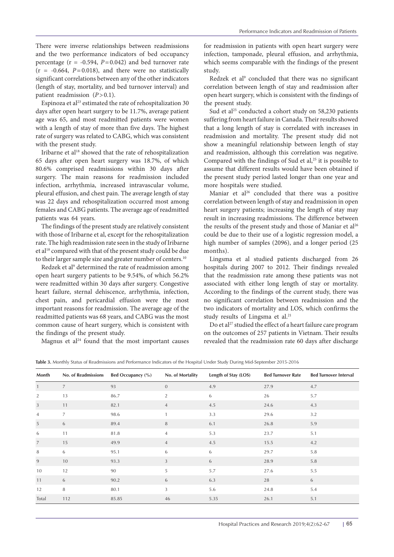There were inverse relationships between readmissions and the two performance indicators of bed occupancy percentage ( $r = -0.594$ ,  $P = 0.042$ ) and bed turnover rate  $(r = -0.664, P = 0.018)$ , and there were no statistically significant correlations between any of the other indicators (length of stay, mortality, and bed turnover interval) and patient readmission (*P*>0.1).

Espinoza et al<sup>23</sup> estimated the rate of rehospitalization 30 days after open heart surgery to be 11.7%, average patient age was 65, and most readmitted patients were women with a length of stay of more than five days. The highest rate of surgery was related to CABG, which was consistent with the present study.

Iribarne et al<sup>18</sup> showed that the rate of rehospitalization 65 days after open heart surgery was 18.7%, of which 80.6% comprised readmissions within 30 days after surgery. The main reasons for readmission included infection, arrhythmia, increased intravascular volume, pleural effusion, and chest pain. The average length of stay was 22 days and rehospitalization occurred most among females and CABG patients. The average age of readmitted patients was 64 years.

The findings of the present study are relatively consistent with those of Iribarne et al, except for the rehospitalization rate. The high readmission rate seen in the study of Iribarne et al<sup>18</sup> compared with that of the present study could be due to their larger sample size and greater number of centers.10

Redzek et al<sup>9</sup> determined the rate of readmission among open heart surgery patients to be 9.54%, of which 56.2% were readmitted within 30 days after surgery. Congestive heart failure, sternal dehiscence, arrhythmia, infection, chest pain, and pericardial effusion were the most important reasons for readmission. The average age of the readmitted patients was 68 years, and CABG was the most common cause of heart surgery, which is consistent with the findings of the present study.

Magnus et  $al<sup>24</sup>$  found that the most important causes

for readmission in patients with open heart surgery were infection, tamponade, pleural effusion, and arrhythmia, which seems comparable with the findings of the present study.

Redzek et al<sup>9</sup> concluded that there was no significant correlation between length of stay and readmission after open heart surgery, which is consistent with the findings of the present study.

Sud et al<sup>25</sup> conducted a cohort study on 58,230 patients suffering from heart failure in Canada. Their results showed that a long length of stay is correlated with increases in readmission and mortality. The present study did not show a meaningful relationship between length of stay and readmission, although this correlation was negative. Compared with the findings of Sud et al,<sup>25</sup> it is possible to assume that different results would have been obtained if the present study period lasted longer than one year and more hospitals were studied.

Maniar et al<sup>26</sup> concluded that there was a positive correlation between length of stay and readmission in open heart surgery patients; increasing the length of stay may result in increasing readmissions. The difference between the results of the present study and those of Maniar et  $al^{26}$ could be due to their use of a logistic regression model, a high number of samples (2096), and a longer period (25 months).

Lingsma et al studied patients discharged from 26 hospitals during 2007 to 2012. Their findings revealed that the readmission rate among these patients was not associated with either long length of stay or mortality. According to the findings of the current study, there was no significant correlation between readmission and the two indicators of mortality and LOS, which confirms the study results of Lingsma et al.<sup>21</sup>

Do et al<sup>27</sup> studied the effect of a heart failure care program on the outcomes of 257 patients in Vietnam. Their results revealed that the readmission rate 60 days after discharge

**Table 3.** Monthly Status of Readmissions and Performance Indicators of the Hospital Under Study During Mid-September 2015-2016

| Month            | No. of Readmissions | Bed Occupancy (%) | No. of Mortality | Length of Stay (LOS) | <b>Bed Turnover Rate</b> | <b>Bed Turnover Interval</b> |
|------------------|---------------------|-------------------|------------------|----------------------|--------------------------|------------------------------|
| $\mathbf{1}$     | $\overline{7}$      | 93                | $\mathbf{0}$     | 4.9                  | 27.9                     | 4.7                          |
| 2                | 13                  | 86.7              | $\overline{2}$   | 6                    | 26                       | 5.7                          |
| $\mathbf{3}$     | 11                  | 82.1              | $\overline{4}$   | 4.5                  | 24.6                     | 4.3                          |
| $\overline{4}$   | $\overline{7}$      | 98.6              | $\mathbf{1}$     | 3.3                  | 29.6                     | 3.2                          |
| $\sqrt{5}$       | 6                   | 89.4              | $\, 8$           | 6.1                  | 26.8                     | 5.9                          |
| 6                | 11                  | 81.8              | $\overline{4}$   | 5.3                  | 23.7                     | 5.1                          |
| $\boldsymbol{7}$ | 15                  | 49.9              | $\overline{4}$   | 4.5                  | 15.5                     | 4.2                          |
| 8                | 6                   | 95.1              | 6                | 6                    | 29.7                     | 5.8                          |
| $\overline{9}$   | 10                  | 93.3              | 3                | 6                    | 28.9                     | 5.8                          |
| 10               | 12                  | 90                | 5                | 5.7                  | 27.6                     | 5.5                          |
| 11               | 6                   | 90.2              | 6                | 6.3                  | 28                       | 6                            |
| 12               | 8                   | 80.1              | 3                | 5.6                  | 24.8                     | 5.4                          |
| Total            | 112                 | 85.85             | 46               | 5.35                 | 26.1                     | 5.1                          |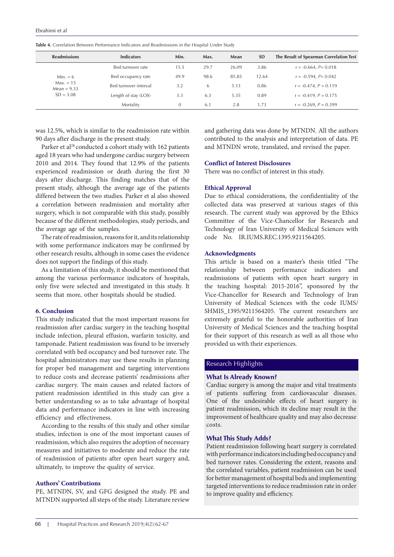| <b>Readmissions</b>          | <b>Indicators</b>     | Min. | Max. | Mean  | <b>SD</b> | The Result of Spearman Correlation Test |
|------------------------------|-----------------------|------|------|-------|-----------|-----------------------------------------|
|                              | Bed turnover rate     | 15.5 | 29.7 | 26.09 | 3.86      | $r = -0.664$ , $P = 0.018$              |
| $Min. = 6$                   | Bed occupancy rate    | 49.9 | 98.6 | 85.85 | 12.64     | $r = -0.594$ , $P = 0.042$              |
| $Max. = 15$<br>Mean = $9.33$ | Bed turnover interval | 3.2  | 6    | 5.13  | 0.86      | $r = -0.474$ , $P = 0.119$              |
| $SD = 3.08$                  | Length of stay (LOS)  | 3.3  | 6.3  | 5.35  | 0.89      | $r = -0.419$ , $P = 0.175$              |
|                              | Mortality             |      | 6.1  | 2.8   | 1.73      | $r = -0.269$ , $P = 0.399$              |

**Table 4.** Correlation Between Performance Indicators and Readmissions in the Hospital Under Study

was 12.5%, which is similar to the readmission rate within 90 days after discharge in the present study.

Parker et al<sup>28</sup> conducted a cohort study with 162 patients aged 18 years who had undergone cardiac surgery between 2010 and 2014. They found that 12.9% of the patients experienced readmission or death during the first 30 days after discharge. This finding matches that of the present study, although the average age of the patients differed between the two studies. Parker et al also showed a correlation between readmission and mortality after surgery, which is not comparable with this study, possibly because of the different methodologies, study periods, and the average age of the samples.

The rate of readmission, reasons for it, and its relationship with some performance indicators may be confirmed by other research results, although in some cases the evidence does not support the findings of this study.

As a limitation of this study, it should be mentioned that among the various performance indicators of hospitals, only five were selected and investigated in this study. It seems that more, other hospitals should be studied.

# **6. Conclusion**

This study indicated that the most important reasons for readmission after cardiac surgery in the teaching hospital include infection, pleural effusion, warfarin toxicity, and tamponade. Patient readmission was found to be inversely correlated with bed occupancy and bed turnover rate. The hospital administrators may use these results in planning for proper bed management and targeting interventions to reduce costs and decrease patients' readmissions after cardiac surgery. The main causes and related factors of patient readmission identified in this study can give a better understanding so as to take advantage of hospital data and performance indicators in line with increasing efficiency and effectiveness.

According to the results of this study and other similar studies, infection is one of the most important causes of readmission, which also requires the adoption of necessary measures and initiatives to moderate and reduce the rate of readmission of patients after open heart surgery and, ultimately, to improve the quality of service.

# **Authors' Contributions**

PE, MTNDN, SV, and GFG designed the study. PE and MTNDN supported all steps of the study. Literature review and gathering data was done by MTNDN. All the authors contributed to the analysis and interpretation of data. PE and MTNDN wrote, translated, and revised the paper.

# **Conflict of Interest Disclosures**

There was no conflict of interest in this study.

## **Ethical Approval**

Due to ethical considerations, the confidentiality of the collected data was preserved at various stages of this research. The current study was approved by the Ethics Committee of the Vice-Chancellor for Research and Technology of Iran University of Medical Sciences with code No. IR.IUMS.REC.1395.9211564205.

#### **Acknowledgments**

This article is based on a master's thesis titled "The relationship between performance indicators and readmissions of patients with open heart surgery in the teaching hospital: 2015-2016", sponsored by the Vice-Chancellor for Research and Technology of Iran University of Medical Sciences with the code IUMS/ SHMIS<sub>1395</sub>/9211564205. The current researchers are extremely grateful to the honorable authorities of Iran University of Medical Sciences and the teaching hospital for their support of this research as well as all those who provided us with their experiences.

# Research Highlights

## **What Is Already Known?**

Cardiac surgery is among the major and vital treatments of patients suffering from cardiovascular diseases. One of the undesirable effects of heart surgery is patient readmission, which its decline may result in the improvement of healthcare quality and may also decrease costs.

## **What This Study Adds?**

Patient readmission following heart surgery is correlated with performance indicators including bed occupancy and bed turnover rates. Considering the extent, reasons and the correlated variables, patient readmission can be used for better management of hospital beds and implementing targeted interventions to reduce readmission rate in order to improve quality and efficiency.